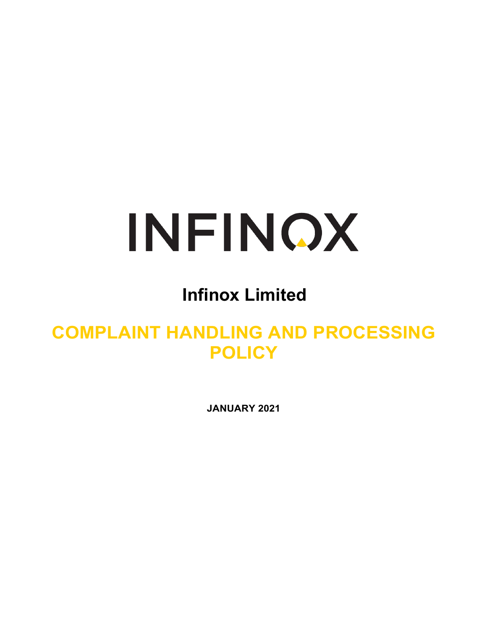# INFINOX

## **Infinox Limited**

### **COMPLAINT HANDLING AND PROCESSING POLICY**

**JANUARY 2021**